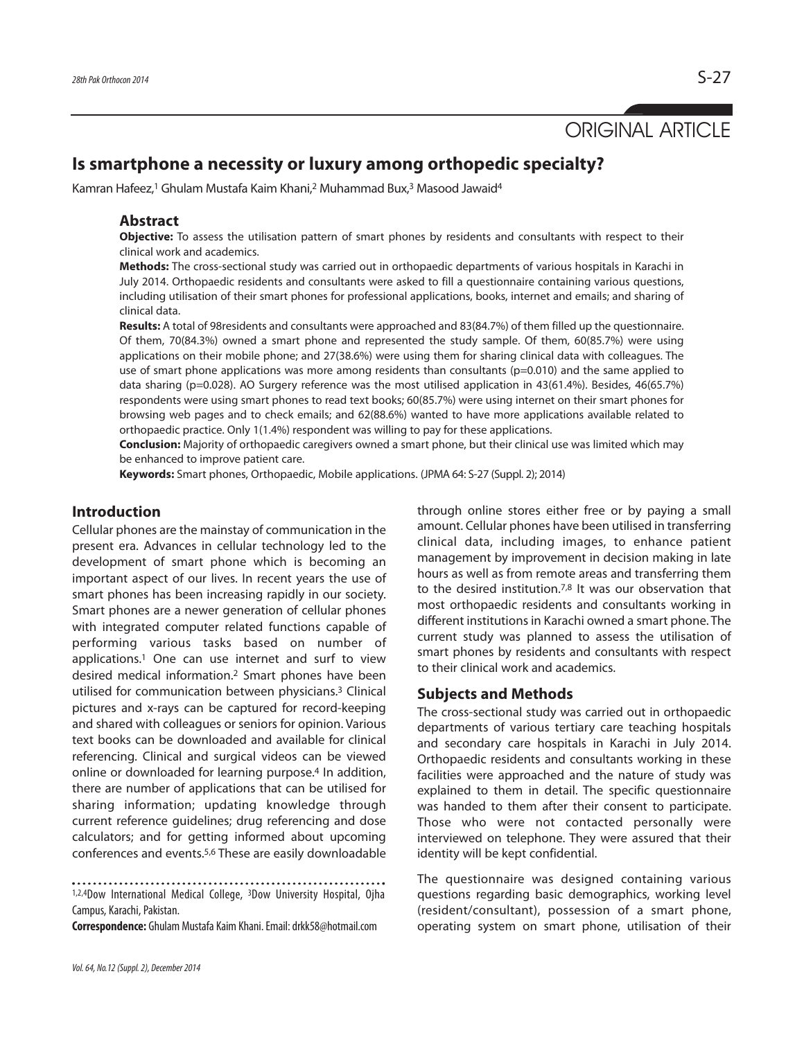# ORIGINAL ARTICLE

# **Is smartphone a necessity or luxury among orthopedic specialty?**

Kamran Hafeez,<sup>1</sup> Ghulam Mustafa Kaim Khani,<sup>2</sup> Muhammad Bux,<sup>3</sup> Masood Jawaid<sup>4</sup>

#### **Abstract**

**Objective:** To assess the utilisation pattern of smart phones by residents and consultants with respect to their clinical work and academics.

**Methods:** The cross-sectional study was carried out in orthopaedic departments of various hospitals in Karachi in July 2014. Orthopaedic residents and consultants were asked to fill a questionnaire containing various questions, including utilisation of their smart phones for professional applications, books, internet and emails; and sharing of clinical data.

**Results:** A total of 98residents and consultants were approached and 83(84.7%) of them filled up the questionnaire. Of them, 70(84.3%) owned a smart phone and represented the study sample. Of them, 60(85.7%) were using applications on their mobile phone; and 27(38.6%) were using them for sharing clinical data with colleagues. The use of smart phone applications was more among residents than consultants (p=0.010) and the same applied to data sharing (p=0.028). AO Surgery reference was the most utilised application in 43(61.4%). Besides, 46(65.7%) respondents were using smart phones to read text books; 60(85.7%) were using internet on their smart phones for browsing web pages and to check emails; and 62(88.6%) wanted to have more applications available related to orthopaedic practice. Only 1(1.4%) respondent was willing to pay for these applications.

**Conclusion:** Majority of orthopaedic caregivers owned a smart phone, but their clinical use was limited which may be enhanced to improve patient care.

**Keywords:** Smart phones, Orthopaedic, Mobile applications. (JPMA 64: S-27 (Suppl. 2); 2014)

## **Introduction**

Cellular phones are the mainstay of communication in the present era. Advances in cellular technology led to the development of smart phone which is becoming an important aspect of our lives. In recent years the use of smart phones has been increasing rapidly in our society. Smart phones are a newer generation of cellular phones with integrated computer related functions capable of performing various tasks based on number of applications.<sup>1</sup> One can use internet and surf to view desired medical information.<sup>2</sup> Smart phones have been utilised for communication between physicians.<sup>3</sup> Clinical pictures and x-rays can be captured for record-keeping and shared with colleagues or seniors for opinion. Various text books can be downloaded and available for clinical referencing. Clinical and surgical videos can be viewed online or downloaded for learning purpose.<sup>4</sup> In addition, there are number of applications that can be utilised for sharing information; updating knowledge through current reference guidelines; drug referencing and dose calculators; and for getting informed about upcoming conferences and events.5,6 These are easily downloadable

1,2,4Dow International Medical College, <sup>3</sup>Dow University Hospital, Ojha Campus, Karachi, Pakistan.

**Correspondence:** Ghulam Mustafa Kaim Khani. Email: drkk58@hotmail.com

through online stores either free or by paying a small amount. Cellular phones have been utilised in transferring clinical data, including images, to enhance patient management by improvement in decision making in late hours as well as from remote areas and transferring them to the desired institution.7,8 It was our observation that most orthopaedic residents and consultants working in different institutions in Karachi owned a smart phone. The current study was planned to assess the utilisation of smart phones by residents and consultants with respect to their clinical work and academics.

#### **Subjects and Methods**

The cross-sectional study was carried out in orthopaedic departments of various tertiary care teaching hospitals and secondary care hospitals in Karachi in July 2014. Orthopaedic residents and consultants working in these facilities were approached and the nature of study was explained to them in detail. The specific questionnaire was handed to them after their consent to participate. Those who were not contacted personally were interviewed on telephone. They were assured that their identity will be kept confidential.

The questionnaire was designed containing various questions regarding basic demographics, working level (resident/consultant), possession of a smart phone, operating system on smart phone, utilisation of their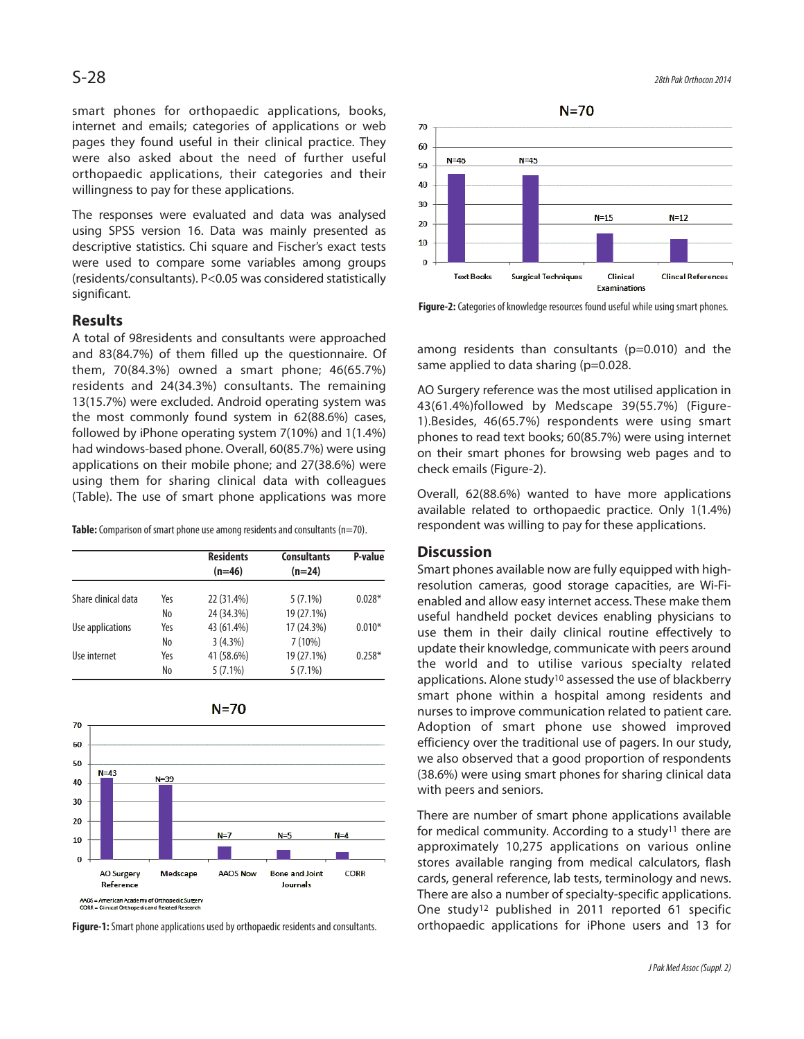smart phones for orthopaedic applications, books, internet and emails; categories of applications or web pages they found useful in their clinical practice. They were also asked about the need of further useful orthopaedic applications, their categories and their willingness to pay for these applications.

The responses were evaluated and data was analysed using SPSS version 16. Data was mainly presented as descriptive statistics. Chi square and Fischer's exact tests were used to compare some variables among groups (residents/consultants). P<0.05 was considered statistically significant.

### **Results**

A total of 98residents and consultants were approached and 83(84.7%) of them filled up the questionnaire. Of them, 70(84.3%) owned a smart phone; 46(65.7%) residents and 24(34.3%) consultants. The remaining 13(15.7%) were excluded. Android operating system was the most commonly found system in 62(88.6%) cases, followed by iPhone operating system 7(10%) and 1(1.4%) had windows-based phone. Overall, 60(85.7%) were using applications on their mobile phone; and 27(38.6%) were using them for sharing clinical data with colleagues (Table). The use of smart phone applications was more

**Table:** Comparison of smart phone use among residents and consultants (n=70).

|                     |     | <b>Residents</b><br>$(n=46)$ | <b>Consultants</b><br>$(n=24)$ | P-value  |
|---------------------|-----|------------------------------|--------------------------------|----------|
| Share clinical data | Yes | 22 (31.4%)                   | $5(7.1\%)$                     | $0.028*$ |
|                     | No  | 24 (34.3%)                   | 19 (27.1%)                     |          |
| Use applications    | Yes | 43 (61.4%)                   | 17 (24.3%)                     | $0.010*$ |
|                     | No  | $3(4.3\%)$                   | 7(10%)                         |          |
| Use internet        | Yes | 41 (58.6%)                   | 19 (27.1%)                     | $0.258*$ |
|                     | No  | $5(7.1\%)$                   | $5(7.1\%)$                     |          |



**Figure-1:** Smart phone applications used by orthopaedic residents and consultants.

 $S-28$ 



**Figure-2:** Categories of knowledge resources found useful while using smart phones.

among residents than consultants (p=0.010) and the same applied to data sharing (p=0.028.

AO Surgery reference was the most utilised application in 43(61.4%)followed by Medscape 39(55.7%) (Figure-1).Besides, 46(65.7%) respondents were using smart phones to read text books; 60(85.7%) were using internet on their smart phones for browsing web pages and to check emails (Figure-2).

Overall, 62(88.6%) wanted to have more applications available related to orthopaedic practice. Only 1(1.4%) respondent was willing to pay for these applications.

#### **Discussion**

Smart phones available now are fully equipped with highresolution cameras, good storage capacities, are Wi-Fienabled and allow easy internet access. These make them useful handheld pocket devices enabling physicians to use them in their daily clinical routine effectively to update their knowledge, communicate with peers around the world and to utilise various specialty related applications. Alone study<sup>10</sup> assessed the use of blackberry smart phone within a hospital among residents and nurses to improve communication related to patient care. Adoption of smart phone use showed improved efficiency over the traditional use of pagers. In our study, we also observed that a good proportion of respondents (38.6%) were using smart phones for sharing clinical data with peers and seniors.

There are number of smart phone applications available for medical community. According to a study<sup>11</sup> there are approximately 10,275 applications on various online stores available ranging from medical calculators, flash cards, general reference, lab tests, terminology and news. There are also a number of specialty-specific applications. One study<sup>12</sup> published in 2011 reported 61 specific orthopaedic applications for iPhone users and 13 for